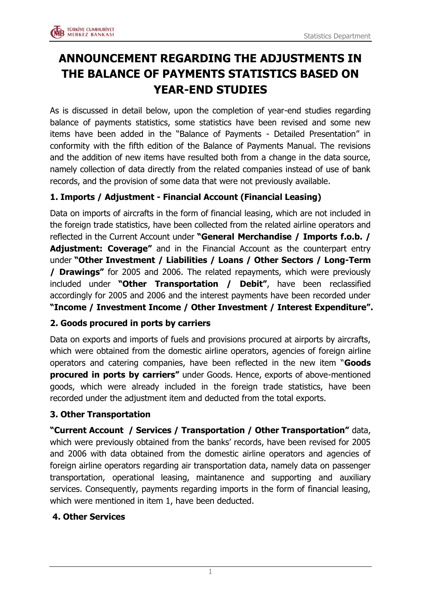

# **ANNOUNCEMENT REGARDING THE ADJUSTMENTS IN THE BALANCE OF PAYMENTS STATISTICS BASED ON YEAR-END STUDIES**

As is discussed in detail below, upon the completion of year-end studies regarding balance of payments statistics, some statistics have been revised and some new items have been added in the "Balance of Payments - Detailed Presentation" in conformity with the fifth edition of the Balance of Payments Manual. The revisions and the addition of new items have resulted both from a change in the data source, namely collection of data directly from the related companies instead of use of bank records, and the provision of some data that were not previously available.

## **1. Imports / Adjustment - Financial Account (Financial Leasing)**

Data on imports of aircrafts in the form of financial leasing, which are not included in the foreign trade statistics, have been collected from the related airline operators and reflected in the Current Account under **"General Merchandise / Imports f.o.b. / Adjustment: Coverage"** and in the Financial Account as the counterpart entry under **"Other Investment / Liabilities / Loans / Other Sectors / Long-Term / Drawings"** for 2005 and 2006. The related repayments, which were previously included under **"Other Transportation / Debit"**, have been reclassified accordingly for 2005 and 2006 and the interest payments have been recorded under **"Income / Investment Income / Other Investment / Interest Expenditure".**

### **2. Goods procured in ports by carriers**

Data on exports and imports of fuels and provisions procured at airports by aircrafts, which were obtained from the domestic airline operators, agencies of foreign airline operators and catering companies, have been reflected in the new item "**Goods procured in ports by carriers"** under Goods. Hence, exports of above-mentioned goods, which were already included in the foreign trade statistics, have been recorded under the adjustment item and deducted from the total exports.

### **3. Other Transportation**

**"Current Account / Services / Transportation / Other Transportation"** data, which were previously obtained from the banks' records, have been revised for 2005 and 2006 with data obtained from the domestic airline operators and agencies of foreign airline operators regarding air transportation data, namely data on passenger transportation, operational leasing, maintanence and supporting and auxiliary services. Consequently, payments regarding imports in the form of financial leasing, which were mentioned in item 1, have been deducted.

#### **4. Other Services**